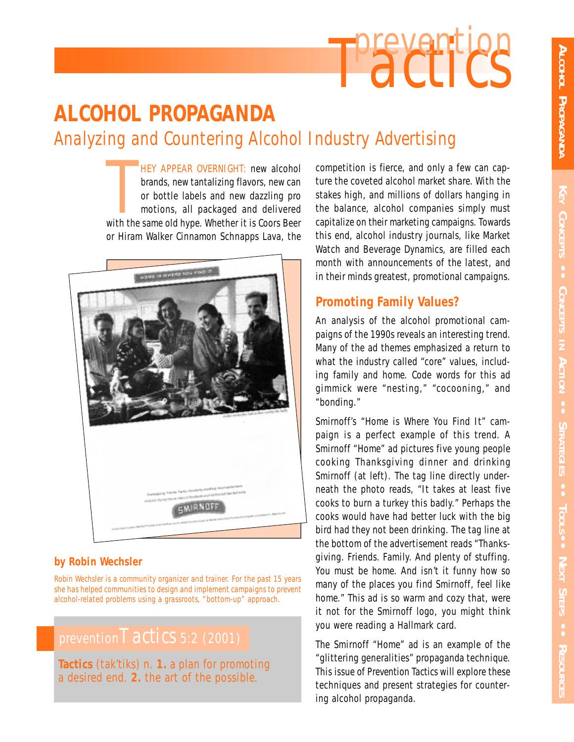

# **ALCOHOL PROPAGANDA** *Analyzing and Countering Alcohol Industry Advertising*

HEY APPEAR OVERNIGHT: new alcohol<br>brands, new tantalizing flavors, new can<br>or bottle labels and new dazzling pro<br>motions, all packaged and delivered<br>with the same old hype. Whether it is Coors Beer HEY APPEAR OVERNIGHT: new alcohol brands, new tantalizing flavors, new can or bottle labels and new dazzling pro motions, all packaged and delivered or Hiram Walker Cinnamon Schnapps Lava, the



## **by Robin Wechsler**

*Robin Wechsler is a community organizer and trainer. For the past 15 years she has helped communities to design and implement campaigns to prevent alcohol-related problems using a grassroots, "bottom-up" approach.*

# prevention*Tactics* 5:2 (2001)

**Tactics** (tak'tiks) *n.* **1.** a plan for promoting a desired end. **2.** the art of the possible.

competition is fierce, and only a few can capture the coveted alcohol market share. With the stakes high, and millions of dollars hanging in the balance, alcohol companies simply must capitalize on their marketing campaigns. Towards this end, alcohol industry journals, like Market Watch and Beverage Dynamics, are filled each month with announcements of the latest, and in their minds greatest, promotional campaigns.

# **Promoting Family Values?**

An analysis of the alcohol promotional campaigns of the 1990s reveals an interesting trend. Many of the ad themes emphasized a return to what the industry called "core" values, including family and home. Code words for this ad gimmick were "nesting," "cocooning," and "bonding."

Smirnoff's "Home is Where You Find It" campaign is a perfect example of this trend. A Smirnoff "Home" ad pictures five young people cooking Thanksgiving dinner and drinking Smirnoff (at left). The tag line directly underneath the photo reads, "It takes at least five cooks to burn a turkey this badly." Perhaps the cooks would have had better luck with the big bird had they not been drinking. The tag line at the bottom of the advertisement reads "Thanksgiving. Friends. Family. And plenty of stuffing. You must be home. And isn't it funny how so many of the places you find Smirnoff, feel like home." This ad is so warm and cozy that, were it not for the Smirnoff logo, you might think you were reading a Hallmark card.

The Smirnoff "Home" ad is an example of the "glittering generalities" propaganda technique. This issue of *Prevention Tactics* will explore these techniques and present strategies for countering alcohol propaganda.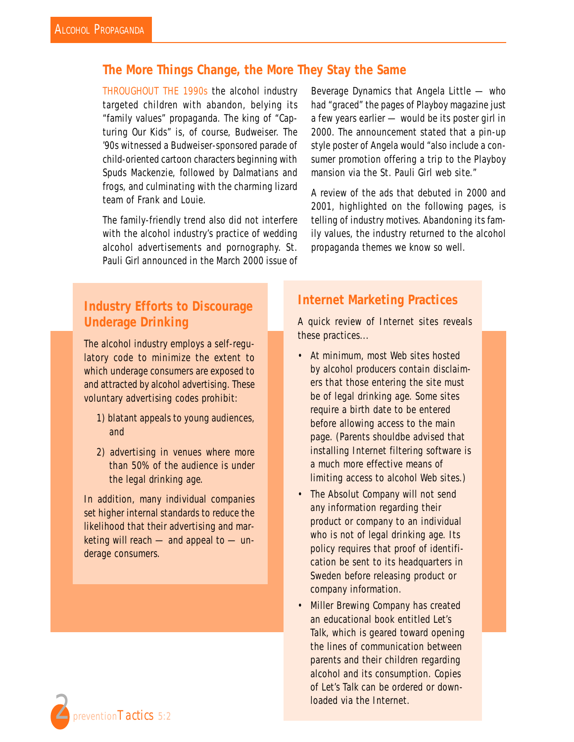# **The More Things Change, the More They Stay the Same**

THROUGHOUT THE 1990s the alcohol industry targeted children with abandon, belying its "family values" propaganda. The king of "Capturing Our Kids" is, of course, Budweiser. The '90s witnessed a Budweiser-sponsored parade of child-oriented cartoon characters beginning with Spuds Mackenzie, followed by Dalmatians and frogs, and culminating with the charming lizard team of Frank and Louie.

The family-friendly trend also did not interfere with the alcohol industry's practice of wedding alcohol advertisements and pornography. St. Pauli Girl announced in the March 2000 issue of

Beverage Dynamics that Angela Little — who had "graced" the pages of Playboy magazine just a few years earlier — would be its poster girl in 2000. The announcement stated that a pin-up style poster of Angela would "also include a consumer promotion offering a trip to the Playboy mansion via the St. Pauli Girl web site."

A review of the ads that debuted in 2000 and 2001, highlighted on the following pages, is telling of industry motives. Abandoning its family values, the industry returned to the alcohol propaganda themes we know so well.

# **Industry Efforts to Discourage Underage Drinking**

The alcohol industry employs a self-regulatory code to minimize the extent to which underage consumers are exposed to and attracted by alcohol advertising. These voluntary advertising codes prohibit:

- 1) blatant appeals to young audiences, and
- 2) advertising in venues where more than 50% of the audience is under the legal drinking age.

In addition, many individual companies set higher internal standards to reduce the likelihood that their advertising and marketing will reach — and appeal to — underage consumers.

# **Internet Marketing Practices**

A quick review of Internet sites reveals these practices...

- At minimum, most Web sites hosted by alcohol producers contain disclaimers that those entering the site must be of legal drinking age. Some sites require a birth date to be entered before allowing access to the main page. (Parents shouldbe advised that installing Internet filtering software is a much more effective means of limiting access to alcohol Web sites.)
- The Absolut Company will not send *any* information regarding their product or company to an individual who is not of legal drinking age. Its policy requires that proof of identification be sent to its headquarters in Sweden before releasing product or company information.
- Miller Brewing Company has created an educational book entitled *Let's Talk*, which is geared toward opening the lines of communication between parents and their children regarding alcohol and its consumption. Copies of *Let's Talk* can be ordered or downloaded via the Internet.

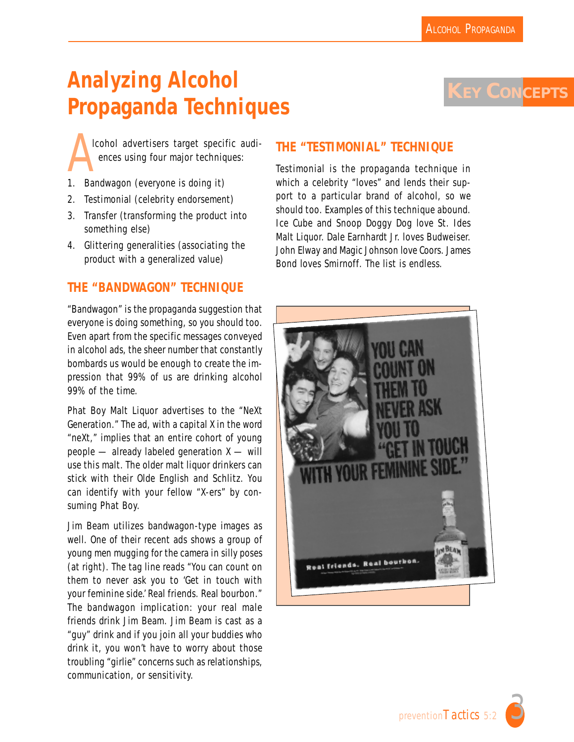**KEY CONCEPTS** 

# **Analyzing Alcohol Propaganda Techniques**

Icohol advertisers target specific audiences using four major techniques:

- 1. Bandwagon (everyone is doing it)
- 2. Testimonial (celebrity endorsement)
- 3. Transfer (transforming the product into something else)
- 4. Glittering generalities (associating the product with a generalized value)

## **THE "BANDWAGON" TECHNIQUE**

"Bandwagon" is the propaganda suggestion that everyone is doing something, so you should too. Even apart from the specific messages conveyed in alcohol ads, the sheer number that constantly bombards us would be enough to create the impression that 99% of us are drinking alcohol 99% of the time.

Phat Boy Malt Liquor advertises to the "NeXt Generation." The ad, with a capital X in the word "neXt," implies that an entire cohort of young people — already labeled generation X — will use this malt. The older malt liquor drinkers can stick with their Olde English and Schlitz. You can identify with your fellow "X-ers" by consuming Phat Boy.

Jim Beam utilizes bandwagon-type images as well. One of their recent ads shows a group of young men mugging for the camera in silly poses (at right). The tag line reads "You can count on them to never ask you to 'Get in touch with your feminine side.' Real friends. Real bourbon." The bandwagon implication: your real male friends drink Jim Beam. Jim Beam is cast as a "guy" drink and if you join all your buddies who drink it, you won't have to worry about those troubling "girlie" concerns such as relationships, communication, or sensitivity.

## **THE "TESTIMONIAL" TECHNIQUE**

Testimonial is the propaganda technique in which a celebrity "loves" and lends their support to a particular brand of alcohol, so we should too. Examples of this technique abound. Ice Cube and Snoop Doggy Dog love St. Ides Malt Liquor. Dale Earnhardt Jr. loves Budweiser. John Elway and Magic Johnson love Coors. James Bond loves Smirnoff. The list is endless.



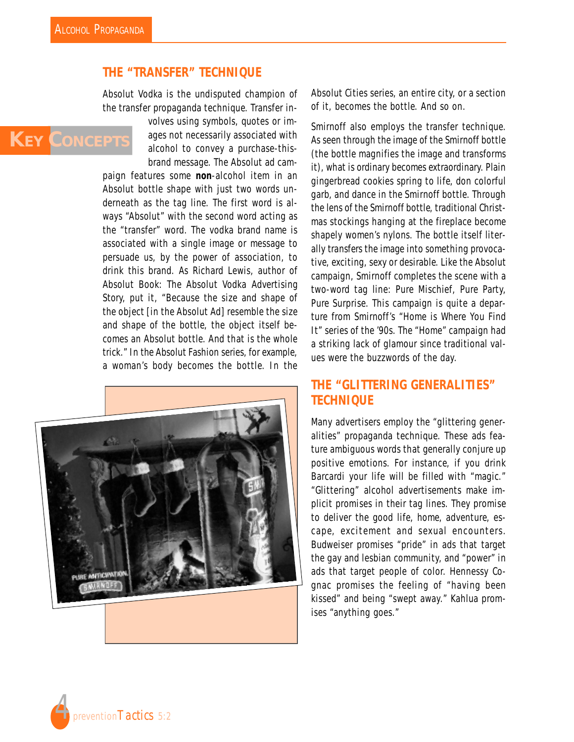**KEY CONCEPTS**

## **THE "TRANSFER" TECHNIQUE**

Absolut Vodka is the undisputed champion of the transfer propaganda technique. Transfer in-

> volves using symbols, quotes or images not necessarily associated with alcohol to convey a purchase-thisbrand message. The Absolut ad cam-

paign features some *non*-alcohol item in an Absolut bottle shape with just two words underneath as the tag line. The first word is always "Absolut" with the second word acting as the "transfer" word. The vodka brand name is associated with a single image or message to persuade us, by the power of association, to drink this brand. As Richard Lewis, author of *Absolut Book: The Absolut Vodka Advertising Story,* put it, "Because the size and shape of the object [in the Absolut Ad] resemble the size and shape of the bottle, the object itself becomes an Absolut bottle. And that is the whole trick." In the Absolut Fashion series, for example, a woman's body becomes the bottle. In the



Absolut Cities series, an entire city, or a section of it, becomes the bottle. And so on.

Smirnoff also employs the transfer technique. As seen through the image of the Smirnoff bottle (the bottle magnifies the image and transforms it), what is ordinary becomes extraordinary. Plain gingerbread cookies spring to life, don colorful garb, and dance in the Smirnoff bottle. Through the lens of the Smirnoff bottle, traditional Christmas stockings hanging at the fireplace become shapely women's nylons. The bottle itself literally *transfers* the image into something provocative, exciting, sexy or desirable. Like the Absolut campaign, Smirnoff completes the scene with a two-word tag line: Pure Mischief, Pure Party, Pure Surprise. This campaign is quite a departure from Smirnoff's "Home is Where You Find It" series of the '90s. The "Home" campaign had a striking lack of glamour since traditional values were the buzzwords of the day.

# **THE "GLITTERING GENERALITIES" TECHNIQUE**

Many advertisers employ the "glittering generalities" propaganda technique. These ads feature ambiguous words that generally conjure up positive emotions. For instance, if you drink Barcardi your life will be filled with "magic." "Glittering" alcohol advertisements make implicit promises in their tag lines. They promise to deliver the good life, home, adventure, escape, excitement and sexual encounters. Budweiser promises "pride" in ads that target the gay and lesbian community, and "power" in ads that target people of color. Hennessy Cognac promises the feeling of "having been kissed" and being "swept away." Kahlua promises "anything goes."

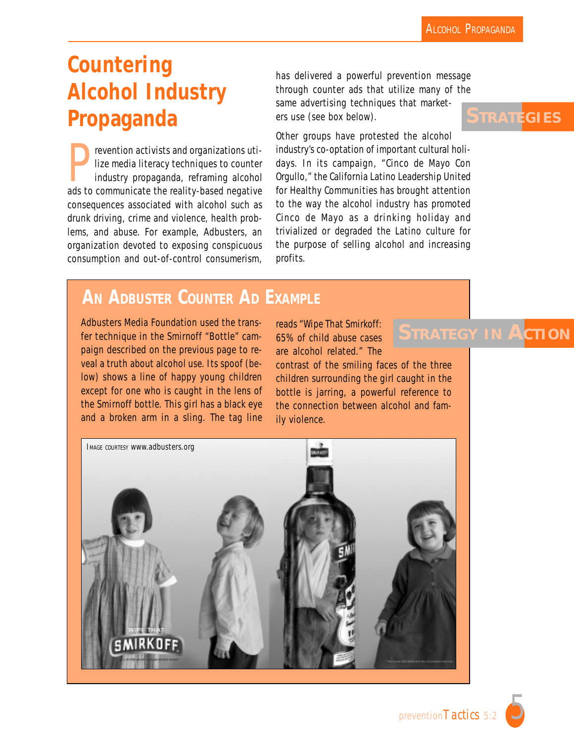# **Countering Alcohol Industry Propaganda**

Prevention activists and organizations utilize media literacy techniques to counter<br>industry propaganda, reframing alcohol<br>ads to communicate the reality-based pegative lize media literacy techniques to counter industry propaganda, reframing alcohol ads to communicate the reality-based negative consequences associated with alcohol such as drunk driving, crime and violence, health problems, and abuse. For example, Adbusters, an organization devoted to exposing conspicuous consumption and out-of-control consumerism, has delivered a powerful prevention message through counter ads that utilize many of the same advertising techniques that marketers use (see box below).

Other groups have protested the alcohol industry's co-optation of important cultural holidays. In its campaign, "Cinco de Mayo Con Orgullo," the California Latino Leadership United for Healthy Communities has brought attention to the way the alcohol industry has promoted Cinco de Mayo as a drinking holiday and trivialized or degraded the Latino culture for the purpose of selling alcohol and increasing profits.

# **AN ADBUSTER COUNTER AD EXAMPLE**

Adbusters Media Foundation used the transfer technique in the Smirnoff "Bottle" campaign described on the previous page to reveal a truth about alcohol use. Its spoof (below) shows a line of happy young children except for one who is caught in the lens of the Smirnoff bottle. This girl has a black eye and a broken arm in a sling. The tag line

reads "Wipe That Smirkoff: 65% of child abuse cases are alcohol related." The

contrast of the smiling faces of the three children surrounding the girl caught in the bottle is jarring, a powerful reference to the connection between alcohol and family violence.



**STRATEGY IN ACTION**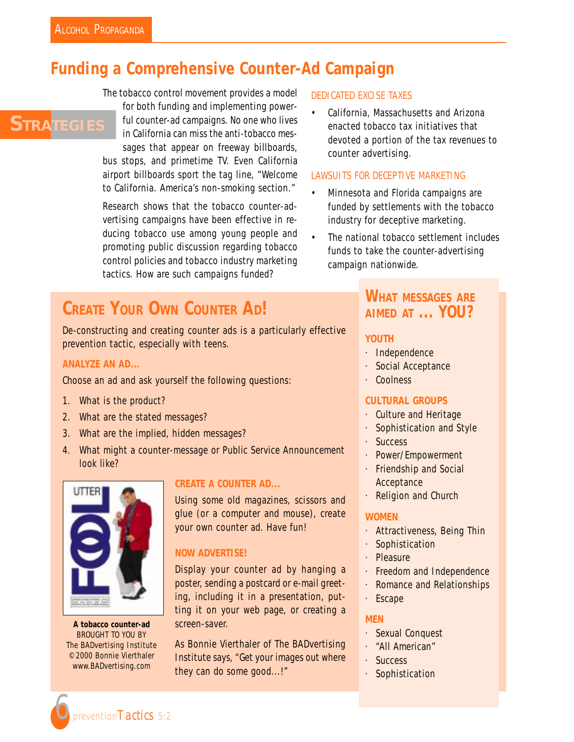**STRATEGIES** 

# **Funding a Comprehensive Counter-Ad Campaign**

The tobacco control movement provides a model

for both funding and implementing powerful counter-ad campaigns. No one who lives in California can miss the anti-tobacco messages that appear on freeway billboards, bus stops, and primetime TV. Even California airport billboards sport the tag line, "Welcome to California. America's non-smoking section."

Research shows that the tobacco counter-advertising campaigns have been effective in reducing tobacco use among young people and promoting public discussion regarding tobacco control policies and tobacco industry marketing tactics. How are such campaigns funded?

# **CREATE YOUR OWN COUNTER AD!**

De-constructing and creating counter ads is a particularly effective prevention tactic, especially with teens.

### *ANALYZE AN AD...*

Choose an ad and ask yourself the following questions:

- 1. What is the product?
- 2. What are the stated messages?
- 3. What are the implied, hidden messages?
- 4. What might a counter-message or Public Service Announcement look like?



**A tobacco counter-ad** BROUGHT TO YOU BY The BADvertising Institute © 2000 Bonnie Vierthaler www.BADvertising.com

### *CREATE A COUNTER AD...*

Using some old magazines, scissors and glue (or a computer and mouse), create your own counter ad. Have fun!

## *NOW ADVERTISE!*

Display your counter ad by hanging a poster, sending a postcard or e-mail greeting, including it in a presentation, putting it on your web page, or creating a screen-saver.

As Bonnie Vierthaler of The BADvertising Institute says, "Get your images out where they can do some good...!"

#### *DEDICATED EXCISE TAXES*

• California, Massachusetts and Arizona enacted tobacco tax initiatives that devoted a portion of the tax revenues to counter advertising.

### *LAWSUITS FOR DECEPTIVE MARKETING*

- Minnesota and Florida campaigns are funded by settlements with the tobacco industry for deceptive marketing.
- The national tobacco settlement includes funds to take the counter-advertising campaign nationwide.

# *WHAT MESSAGES ARE AIMED AT ... YOU?*

#### **YOUTH**

- · Independence
- · Social Acceptance
- · Coolness

### **CULTURAL GROUPS**

- · Culture and Heritage
- · Sophistication and Style
- · Success
- · Power/Empowerment
- · Friendship and Social Acceptance
- **Religion and Church**

#### **WOMEN**

- · Attractiveness, Being Thin
- · Sophistication
- · Pleasure
- · Freedom and Independence
- · Romance and Relationships
- · Escape

#### **MEN**

- · Sexual Conquest
- · "All American"
- · Success
- · Sophistication

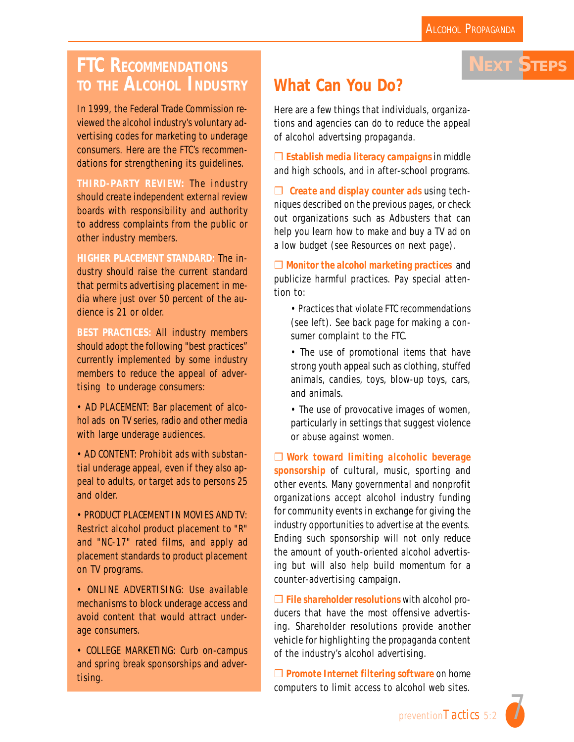**NEXT STEPS**

# **FTC RECOMMENDATIONS TO THE ALCOHOL INDUSTRY**

In 1999, the Federal Trade Commission reviewed the alcohol industry's voluntary advertising codes for marketing to underage consumers. Here are the FTC's recommendations for strengthening its guidelines.

**THIRD-PARTY REVIEW:** The industry should create independent external review boards with responsibility and authority to address complaints from the public or other industry members.

**HIGHER PLACEMENT STANDARD:** The industry should raise the current standard that permits advertising placement in media where just over 50 percent of the audience is 21 or older.

**BEST PRACTICES:** All industry members should adopt the following "best practices" currently implemented by some industry members to reduce the appeal of advertising to underage consumers:

• AD PLACEMENT: Bar placement of alcohol ads on TV series, radio and other media with large underage audiences.

• AD CONTENT: Prohibit ads with substantial underage appeal, even if they also appeal to adults, or target ads to persons 25 and older.

• PRODUCT PLACEMENT IN MOVIES AND TV: Restrict alcohol product placement to "R" and "NC-17" rated films, and apply ad placement standards to product placement on TV programs.

• ONLINE ADVERTISING: Use available mechanisms to block underage access and avoid content that would attract underage consumers.

• COLLEGE MARKETING: Curb on-campus and spring break sponsorships and advertising.

# **What Can You Do?**

Here are a few things that individuals, organizations and agencies can do to reduce the appeal of alcohol advertsing propaganda.

❒ *Establish media literacy campaigns* in middle and high schools, and in after-school programs.

❒ *Create and display counter ads* using techniques described on the previous pages, or check out organizations such as Adbusters that can help you learn how to make and buy a TV ad on a low budget (see Resources on next page).

❒ *Monitor the alcohol marketing practices* and publicize harmful practices. Pay special attention to:

- Practices that violate FTC recommendations (see left). See back page for making a consumer complaint to the FTC.
- The use of promotional items that have strong youth appeal such as clothing, stuffed animals, candies, toys, blow-up toys, cars, and animals.
- The use of provocative images of women, particularly in settings that suggest violence or abuse against women.

❒ *Work toward limiting alcoholic beverage sponsorship* of cultural, music, sporting and other events. Many governmental and nonprofit organizations accept alcohol industry funding for community events in exchange for giving the industry opportunities to advertise at the events. Ending such sponsorship will not only reduce the amount of youth-oriented alcohol advertising but will also help build momentum for a counter-advertising campaign.

❒ *File shareholder resolutions* with alcohol producers that have the most offensive advertising. Shareholder resolutions provide another vehicle for highlighting the propaganda content of the industry's alcohol advertising.

❒ *Promote Internet filtering software* on home computers to limit access to alcohol web sites.